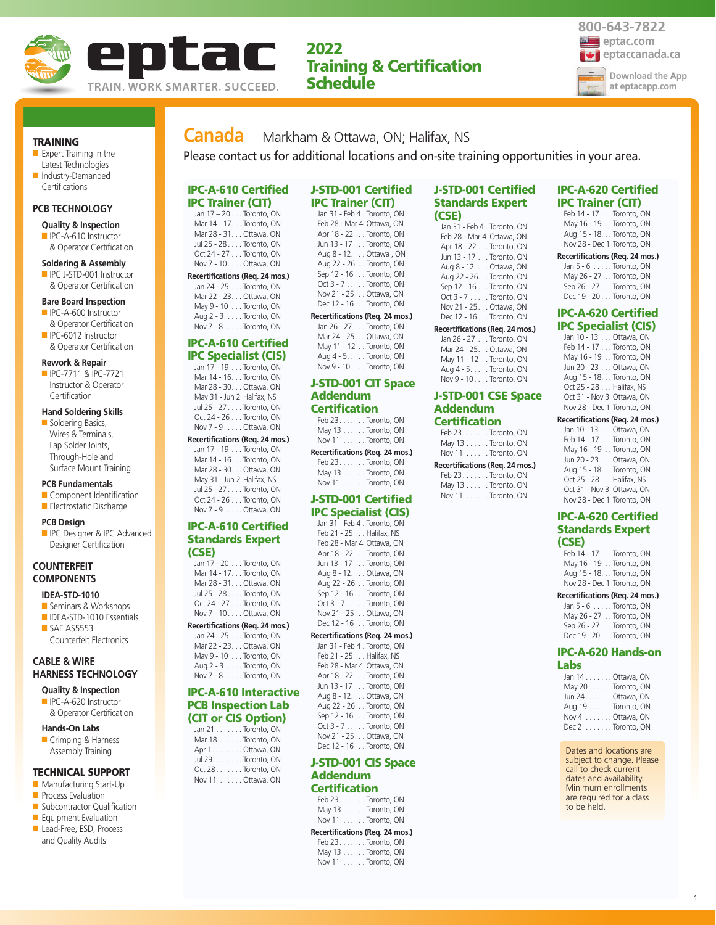

# **2022 Training & Certification Schedule**

**Recertifications (Req. 24 mos.)**



**TRAINING**

■ Expert Training in the Latest Technologies ■ Industry-Demanded

# **PCB TECHNOLOGY**

**Certifications** 

- **Quality & Inspection** ■ IPC-A-610 Instructor
- & Operator Certification

### **Soldering & Assembly**

■ IPC J-STD-001 Instructor & Operator Certification

#### **Bare Board Inspection**

- IPC-A-600 Instructor & Operator Certification
- IPC-6012 Instructor & Operator Certification

#### **Rework & Repair**

■ IPC-7711 & IPC-7721 Instructor & Operator **Certification** 

## **Hand Soldering Skills**

■ Soldering Basics, Wires & Terminals, Lap Solder Joints, Through-Hole and Surface Mount Training

#### **PCB Fundamentals**

- Component Identification ■ Electrostatic Discharge
- **PCB Design**
- **ID** IPC Designer & IPC Advanced Designer Certification

### **COUNTERFEIT COMPONENTS**

### **IDEA-STD-1010**

- Seminars & Workshops ■ IDEA-STD-1010 Essentials
- SAE AS5553 Counterfeit Electronics

### **CABLE & WIRE HARNESS TECHNOLOGY**

- **Quality & Inspection** ■ IPC-A-620 Instructor
- & Operator Certification
- **Hands-On Labs**
- Crimping & Harness Assembly Training

### **TECHNICAL SUPPORT**

- Manufacturing Start-Up
- **Process Evaluation**
- Subcontractor Qualification ■ Equipment Evaluation
- Lead-Free, ESD, Process
- and Quality Audits

# **Canada** Markham & Ottawa, ON; Halifax, NS Please contact us for additional locations and on-site training opportunities in your area.

**J-STD-001 Certified IPC Trainer (CIT)**  Jan 31 - Feb 4 . Toronto, ON Feb 28 - Mar 4 Ottawa, ON Apr 18 - 22 . . . Toronto, ON Jun 13 - 17 . . . Toronto, ON Aug 8 - 12. . . . Ottawa , ON Aug 22 - 26. . . Toronto, ON

# **IPC-A-610 Certified IPC Trainer (CIT)**

Jan 17 – 20 . . . Toronto, ON Mar 14 - 17. . . Toronto, ON Mar 28 - 31. . . Ottawa, ON Jul 25 - 28 . . . . Toronto, ON Oct 24 - 27 . . . Toronto, ON Nov 7 - 10. . . . Ottawa, ON **Recertifications (Req. 24 mos.)** Jan 24 - 25 . . . Toronto, ON Mar 22 - 23. . . Ottawa, ON

May 9 - 10 . . . Toronto, ON Aug 2 - 3. . . . . Toronto, ON Nov 7 - 8 . . . . . Toronto, ON

#### **IPC-A-610 Certified IPC Specialist (CIS)**

| $\sim$ production (signal)      |
|---------------------------------|
| Jan 17 - 19 Toronto, ON         |
| Mar 14 - 16. Toronto, ON        |
| Mar 28 - 30. Ottawa, ON         |
| May 31 - Jun 2 Halifax, NS      |
| Jul 25 - 27 Toronto, ON         |
| Oct 24 - 26 Toronto, ON         |
| Nov 7 - 9. Ottawa, ON           |
| Recertifications (Req. 24 mos.) |

Jan 17 - 19 . . . Toronto, ON Mar 14 - 16. . . Toronto, ON Mar 28 - 30. . . Ottawa, ON May 31 - Jun 2 Halifax, NS Jul 25 - 27 . . . . Toronto, ON Oct 24 - 26 . . . Toronto, ON Nov 7 - 9 . . . . . Ottawa, ON

### **IPC-A-610 Certified Standards Expert (CSE)**

| Jan 17 - 20 Toronto, ON         |  |
|---------------------------------|--|
| Mar 14 - 17. Toronto, ON        |  |
| Mar 28 - 31. Ottawa, ON         |  |
| Jul 25 - 28 Toronto, ON         |  |
| Oct 24 - 27 Toronto, ON         |  |
| Nov 7 - 10 Ottawa, ON           |  |
| Recertifications (Req. 24 mos.) |  |
| Jan 24 - 25 Toronto, ON         |  |
| Mar 22 - 23 Ottawa, ON          |  |

#### Mar 22 - 23. . . Ottawa, ON May 9 - 10 . . . Toronto, ON

Aug 2 - 3. . . . . Toronto, ON Nov 7 - 8 . . . . . Toronto, ON

### **IPC-A-610 Interactive PCB Inspection Lab (CIT or CIS Option)**

| Jan $21 \ldots \ldots$ Toronto, ON |  |
|------------------------------------|--|
| Mar 18 Toronto, ON                 |  |
| Apr 1. Ottawa, ON                  |  |
| Jul 29. Toronto, ON                |  |
| Oct 28Toronto, ON                  |  |
| Nov 11 Ottawa, ON                  |  |
|                                    |  |

#### Sep 12 - 16 . . . Toronto, ON Oct 3 - 7 . . . . . Toronto, ON Nov 21 - 25. . . Ottawa, ON Dec 12 - 16 . . . Toronto, ON

| Recertifications (Reg. 24 mo. |  |  |
|-------------------------------|--|--|
| Jan 26 - 27 Toronto, ON       |  |  |
| Mar 24 - 25. Ottawa, ON       |  |  |
| May 11 - 12 Toronto, ON       |  |  |
| Aug 4 - 5. Toronto, ON        |  |  |
| Nov 9 - 10 Toronto, ON        |  |  |

### **J-STD-001 CIT Space Addendum Certification**

Feb 23. . . . . . . Toronto, ON May 13 . . . . . . Toronto, ON Nov 11 . . . . . . Toronto, ON

**Recertifications (Req. 24 mos.)** Feb 23. . . . . . . Toronto, ON May 13 . . . . . . Toronto, ON Nov 11 . . . . . . Toronto, ON

### **J-STD-001 Certified IPC Specialist (CIS)**

| Jan 31 - Feb 4 . Toronto, ON    |  |
|---------------------------------|--|
| Feb 21 - 25 Halifax, NS         |  |
| Feb 28 - Mar 4 Ottawa, ON       |  |
| Apr 18 - 22 Toronto, ON         |  |
| Jun 13 - 17 Toronto, ON         |  |
| Aug 8 - 12. Ottawa, ON          |  |
| Aug 22 - 26. Toronto, ON        |  |
| Sep 12 - 16 Toronto, ON         |  |
| Oct 3 - 7 Toronto, ON           |  |
| Nov 21 - 25 Ottawa, ON          |  |
| Dec 12 - 16 Toronto, ON         |  |
| Recertifications (Req. 24 mos.) |  |
| Jan 31 - Feb 4 . Toronto, ON    |  |

Feb 21 - 25 . . . Halifax, NS Feb 28 - Mar 4 Ottawa, ON Apr 18 - 22 . . . Toronto, ON Jun 13 - 17 . . . Toronto, ON Aug 8 - 12. . . . Ottawa, ON Aug 22 - 26. . . Toronto, ON Sep 12 - 16 . . . Toronto, ON Oct 3 - 7 . . . . . Toronto, ON Nov 21 - 25. . . Ottawa, ON Dec 12 - 16 . . . Toronto, ON

### **J-STD-001 CIS Space Addendum**

# **Certification**

Feb 23. . . . . . . Toronto, ON May 13 . . . . . . Toronto, ON Nov 11 . . . . . . Toronto, ON

### **Recertifications (Req. 24 mos.)**

Feb 23. . . . . . . Toronto, ON May 13 . . . . . . Toronto, ON Nov 11 . . . . . . Toronto, ON

# **J-STD-001 Certified Standards Expert (CSE)** Jan 31 - Feb 4 . Toronto, ON

| Jan 31 - Feb 4 . Toronto, ON |
|------------------------------|
| Feb 28 - Mar 4 Ottawa, ON    |
| Apr 18 - 22 Toronto, ON      |
| Jun 13 - 17 Toronto, ON      |
| Aug 8 - 12. Ottawa, ON       |
| Aug 22 - 26. Toronto, ON     |
| Sep 12 - 16 Toronto, ON      |
| Oct 3 - 7 Toronto, ON        |
| Nov 21 - 25. Ottawa, ON      |
| Dec 12 - 16. Toronto, ON     |
|                              |

### **Recertifications (Req. 24 mos.)**

| Jan 26 - 27 Toronto, ON |  |
|-------------------------|--|
| Mar 24 - 25. Ottawa, ON |  |
| May 11 - 12 Toronto, ON |  |
| Aug 4 - 5. Toronto, ON  |  |
| Nov 9 - 10. Toronto, ON |  |

### **J-STD-001 CSE Space Addendum Certification**

|  |  | May 13 Toronto, ON              |  |
|--|--|---------------------------------|--|
|  |  | Nov 11 Toronto, ON              |  |
|  |  | Recertifications (Req. 24 mos.) |  |
|  |  | Feb 23 Toronto ON               |  |

| Feb $23$ Toronto, ON |
|----------------------|
| May 13 Toronto, ON   |
| Nov 11 Toronto, ON   |

#### Feb 14 - 17 . . . Toronto, ON May 16 - 19 . . Toronto, ON Jun 20 - 23 . . . Ottawa, ON Aug 15 - 18. . . Toronto, ON Oct 25 - 28 . . . Halifax, NS

**IPC-A-620 Certified IPC Trainer (CIT)** Feb 14 - 17 . . . Toronto, ON May 16 - 19 . . Toronto, ON Aug 15 - 18. . . Toronto, ON Nov 28 - Dec 1 Toronto, ON **Recertifications (Req. 24 mos.)** Jan 5 - 6 . . . . . Toronto, ON May 26 - 27 . . Toronto, ON Sep 26 - 27 . . . Toronto, ON Dec 19 - 20 . . . Toronto, ON **IPC-A-620 Certified IPC Specialist (CIS)** Jan 10 - 13 . . . Ottawa, ON

Oct 31 - Nov 3 Ottawa, ON Nov 28 - Dec 1 Toronto, ON **Recertifications (Req. 24 mos.)** Jan 10 - 13 . . . Ottawa, ON Feb 14 - 17 . . . Toronto, ON May 16 - 19 . . Toronto, ON Jun 20 - 23 . . . Ottawa, ON Aug 15 - 18. . . Toronto, ON Oct 25 - 28 . . . Halifax, NS

### **IPC-A-620 Certified Standards Expert (CSE)**

Oct 31 - Nov 3 Ottawa, ON Nov 28 - Dec 1 Toronto, ON

| Feb 14 - 17 Toronto, ON    |  |
|----------------------------|--|
| May 16 - 19 Toronto, ON    |  |
| Aug 15 - 18. Toronto, ON   |  |
| Nov 28 - Dec 1 Toronto, ON |  |

### **Recertifications (Req. 24 mos.)**

| Jan $5 - 6$ Toronto, ON |  |
|-------------------------|--|
| May 26 - 27 Toronto, ON |  |
| Sep 26 - 27 Toronto, ON |  |
| Dec 19 - 20 Toronto, ON |  |

#### **IPC-A-620 Hands-on Labs**

| ----               |
|--------------------|
| Jan 14 Ottawa, ON  |
| May 20 Toronto, ON |
| Jun 24 Ottawa, ON  |
| Aug 19 Toronto, ON |
| Nov 4 Ottawa, ON   |
| Dec 2. Toronto, ON |
|                    |

Dates and locations are subject to change. Please call to check current dates and availability. Minimum enrollments are required for a class to be held.